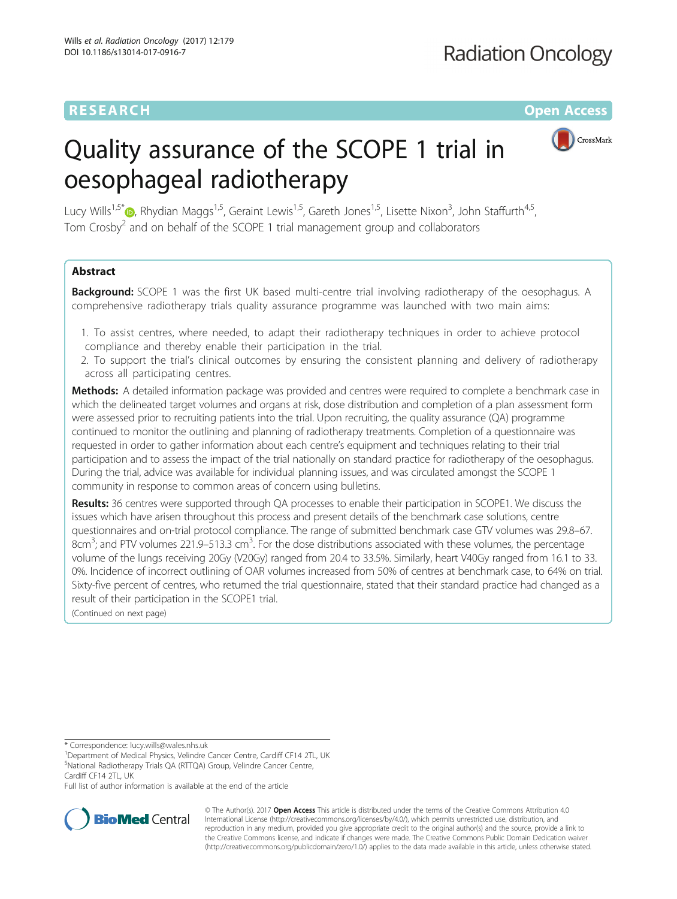## RESEARCH **RESEARCH CONSUMING THE CONSUMING THE CONSUMING THE CONSUMING TEAM Open Access**

# CrossMark

## Quality assurance of the SCOPE 1 trial in oesophageal radiotherapy

Lucy Wills<sup>1[,](http://orcid.org/0000-0002-7152-2557)5\*</sup>®, Rhydian Maggs<sup>1,5</sup>, Geraint Lewis<sup>1,5</sup>, Gareth Jones<sup>1,5</sup>, Lisette Nixon<sup>3</sup>, John Staffurth<sup>4,5</sup>, Tom Crosby $<sup>2</sup>$  and on behalf of the SCOPE 1 trial management group and collaborators</sup>

## Abstract

**Background:** SCOPE 1 was the first UK based multi-centre trial involving radiotherapy of the oesophagus. A comprehensive radiotherapy trials quality assurance programme was launched with two main aims:

- 1. To assist centres, where needed, to adapt their radiotherapy techniques in order to achieve protocol compliance and thereby enable their participation in the trial.
- 2. To support the trial's clinical outcomes by ensuring the consistent planning and delivery of radiotherapy across all participating centres.

Methods: A detailed information package was provided and centres were required to complete a benchmark case in which the delineated target volumes and organs at risk, dose distribution and completion of a plan assessment form were assessed prior to recruiting patients into the trial. Upon recruiting, the quality assurance (QA) programme continued to monitor the outlining and planning of radiotherapy treatments. Completion of a questionnaire was requested in order to gather information about each centre's equipment and techniques relating to their trial participation and to assess the impact of the trial nationally on standard practice for radiotherapy of the oesophagus. During the trial, advice was available for individual planning issues, and was circulated amongst the SCOPE 1 community in response to common areas of concern using bulletins.

Results: 36 centres were supported through QA processes to enable their participation in SCOPE1. We discuss the issues which have arisen throughout this process and present details of the benchmark case solutions, centre questionnaires and on-trial protocol compliance. The range of submitted benchmark case GTV volumes was 29.8–67.  $8cm<sup>3</sup>$ ; and PTV volumes 221.9–513.3 cm<sup>3</sup>. For the dose distributions associated with these volumes, the percentage volume of the lungs receiving 20Gy (V20Gy) ranged from 20.4 to 33.5%. Similarly, heart V40Gy ranged from 16.1 to 33. 0%. Incidence of incorrect outlining of OAR volumes increased from 50% of centres at benchmark case, to 64% on trial. Sixty-five percent of centres, who returned the trial questionnaire, stated that their standard practice had changed as a result of their participation in the SCOPE1 trial.

(Continued on next page)

Full list of author information is available at the end of the article



© The Author(s). 2017 **Open Access** This article is distributed under the terms of the Creative Commons Attribution 4.0 International License [\(http://creativecommons.org/licenses/by/4.0/](http://creativecommons.org/licenses/by/4.0/)), which permits unrestricted use, distribution, and reproduction in any medium, provided you give appropriate credit to the original author(s) and the source, provide a link to the Creative Commons license, and indicate if changes were made. The Creative Commons Public Domain Dedication waiver [\(http://creativecommons.org/publicdomain/zero/1.0/](http://creativecommons.org/publicdomain/zero/1.0/)) applies to the data made available in this article, unless otherwise stated.

<sup>\*</sup> Correspondence: [lucy.wills@wales.nhs.uk](mailto:lucy.wills@wales.nhs.uk) <sup>1</sup>

<sup>&</sup>lt;sup>1</sup>Department of Medical Physics, Velindre Cancer Centre, Cardiff CF14 2TL, UK <sup>5</sup>National Radiotherapy Trials QA (RTTQA) Group, Velindre Cancer Centre,

Cardiff CF14 2TL, UK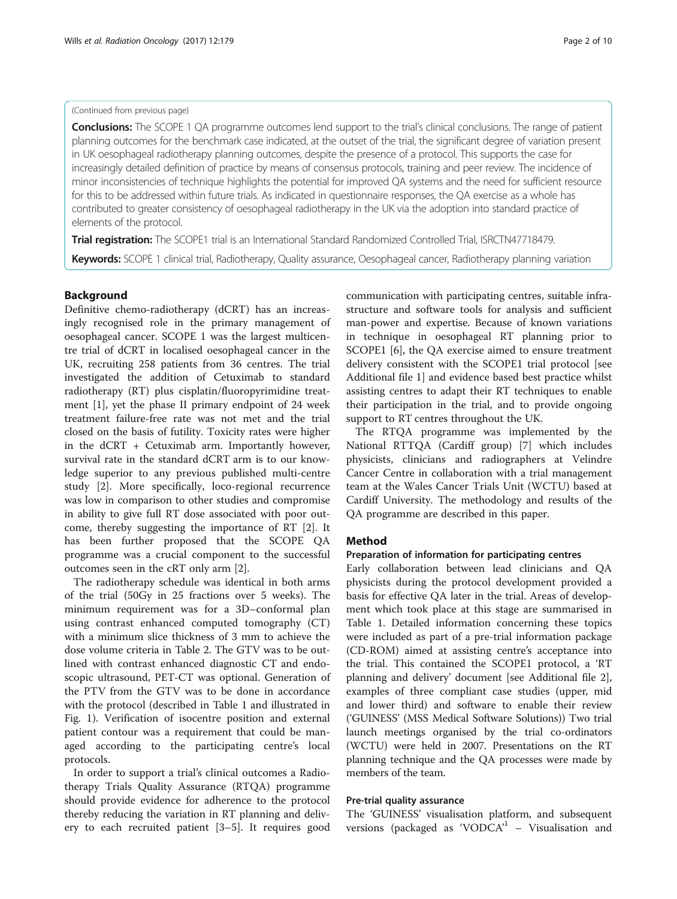## (Continued from previous page)

**Conclusions:** The SCOPE 1 QA programme outcomes lend support to the trial's clinical conclusions. The range of patient planning outcomes for the benchmark case indicated, at the outset of the trial, the significant degree of variation present in UK oesophageal radiotherapy planning outcomes, despite the presence of a protocol. This supports the case for increasingly detailed definition of practice by means of consensus protocols, training and peer review. The incidence of minor inconsistencies of technique highlights the potential for improved QA systems and the need for sufficient resource for this to be addressed within future trials. As indicated in questionnaire responses, the QA exercise as a whole has contributed to greater consistency of oesophageal radiotherapy in the UK via the adoption into standard practice of elements of the protocol.

Trial registration: The SCOPE1 trial is an International Standard Randomized Controlled Trial, [ISRCTN47718479.](http://www.isrctn.com/ISRCTN47718479)

Keywords: SCOPE 1 clinical trial, Radiotherapy, Quality assurance, Oesophageal cancer, Radiotherapy planning variation

## Background

Definitive chemo-radiotherapy (dCRT) has an increasingly recognised role in the primary management of oesophageal cancer. SCOPE 1 was the largest multicentre trial of dCRT in localised oesophageal cancer in the UK, recruiting 258 patients from 36 centres. The trial investigated the addition of Cetuximab to standard radiotherapy (RT) plus cisplatin/fluoropyrimidine treatment [[1\]](#page-8-0), yet the phase II primary endpoint of 24 week treatment failure-free rate was not met and the trial closed on the basis of futility. Toxicity rates were higher in the dCRT + Cetuximab arm. Importantly however, survival rate in the standard dCRT arm is to our knowledge superior to any previous published multi-centre study [\[2](#page-9-0)]. More specifically, loco-regional recurrence was low in comparison to other studies and compromise in ability to give full RT dose associated with poor outcome, thereby suggesting the importance of RT [\[2](#page-9-0)]. It has been further proposed that the SCOPE QA programme was a crucial component to the successful outcomes seen in the cRT only arm [\[2](#page-9-0)].

The radiotherapy schedule was identical in both arms of the trial (50Gy in 25 fractions over 5 weeks). The minimum requirement was for a 3D–conformal plan using contrast enhanced computed tomography (CT) with a minimum slice thickness of 3 mm to achieve the dose volume criteria in Table [2.](#page-3-0) The GTV was to be outlined with contrast enhanced diagnostic CT and endoscopic ultrasound, PET-CT was optional. Generation of the PTV from the GTV was to be done in accordance with the protocol (described in Table [1](#page-2-0) and illustrated in Fig. [1](#page-4-0)). Verification of isocentre position and external patient contour was a requirement that could be managed according to the participating centre's local protocols.

In order to support a trial's clinical outcomes a Radiotherapy Trials Quality Assurance (RTQA) programme should provide evidence for adherence to the protocol thereby reducing the variation in RT planning and delivery to each recruited patient [[3](#page-9-0)–[5\]](#page-9-0). It requires good communication with participating centres, suitable infrastructure and software tools for analysis and sufficient man-power and expertise. Because of known variations in technique in oesophageal RT planning prior to SCOPE1 [\[6](#page-9-0)], the QA exercise aimed to ensure treatment delivery consistent with the SCOPE1 trial protocol [see Additional file [1](#page-8-0)] and evidence based best practice whilst assisting centres to adapt their RT techniques to enable their participation in the trial, and to provide ongoing support to RT centres throughout the UK.

The RTQA programme was implemented by the National RTTQA (Cardiff group) [\[7\]](#page-9-0) which includes physicists, clinicians and radiographers at Velindre Cancer Centre in collaboration with a trial management team at the Wales Cancer Trials Unit (WCTU) based at Cardiff University. The methodology and results of the QA programme are described in this paper.

#### Method

## Preparation of information for participating centres

Early collaboration between lead clinicians and QA physicists during the protocol development provided a basis for effective QA later in the trial. Areas of development which took place at this stage are summarised in Table [1.](#page-2-0) Detailed information concerning these topics were included as part of a pre-trial information package (CD-ROM) aimed at assisting centre's acceptance into the trial. This contained the SCOPE1 protocol, a 'RT planning and delivery' document [see Additional file [2](#page-8-0)], examples of three compliant case studies (upper, mid and lower third) and software to enable their review ('GUINESS' (MSS Medical Software Solutions)) Two trial launch meetings organised by the trial co-ordinators (WCTU) were held in 2007. Presentations on the RT planning technique and the QA processes were made by members of the team.

## Pre-trial quality assurance

The 'GUINESS' visualisation platform, and subsequent versions (packaged as 'VODC $A$ <sup>1</sup> - Visualisation and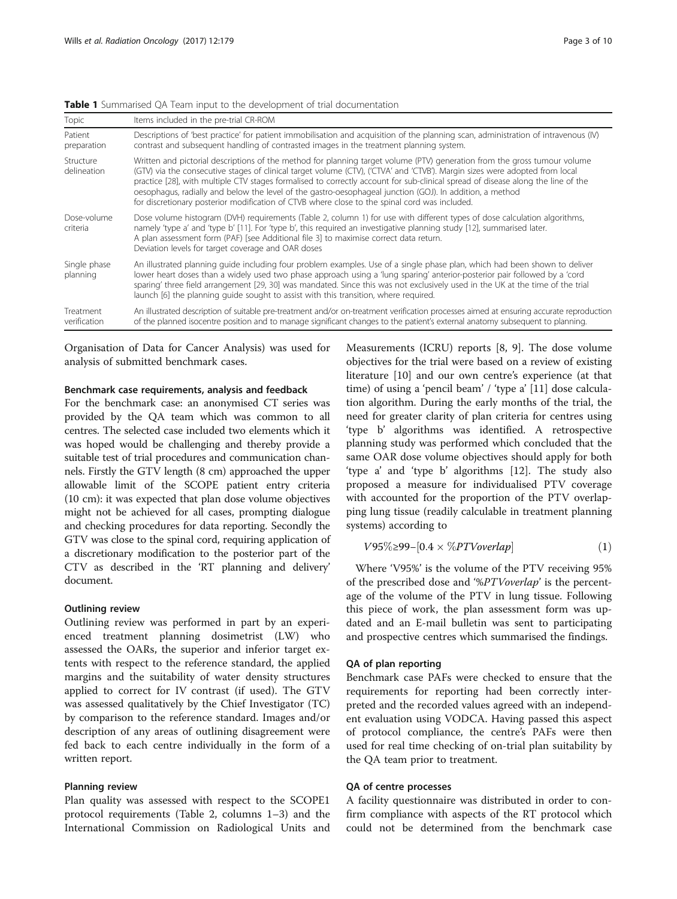<span id="page-2-0"></span>Table 1 Summarised QA Team input to the development of trial documentation

| Topic                     | Items included in the pre-trial CR-ROM                                                                                                                                                                                                                                                                                                                                                                                                                                                                                                                                                                    |  |  |
|---------------------------|-----------------------------------------------------------------------------------------------------------------------------------------------------------------------------------------------------------------------------------------------------------------------------------------------------------------------------------------------------------------------------------------------------------------------------------------------------------------------------------------------------------------------------------------------------------------------------------------------------------|--|--|
| Patient<br>preparation    | Descriptions of 'best practice' for patient immobilisation and acquisition of the planning scan, administration of intravenous (IV)<br>contrast and subsequent handling of contrasted images in the treatment planning system.                                                                                                                                                                                                                                                                                                                                                                            |  |  |
| Structure<br>delineation  | Written and pictorial descriptions of the method for planning target volume (PTV) generation from the gross tumour volume<br>(GTV) via the consecutive stages of clinical target volume (CTV), ('CTVA' and 'CTVB'). Margin sizes were adopted from local<br>practice [28], with multiple CTV stages formalised to correctly account for sub-clinical spread of disease along the line of the<br>oesophagus, radially and below the level of the gastro-oesophageal junction (GOJ). In addition, a method<br>for discretionary posterior modification of CTVB where close to the spinal cord was included. |  |  |
| Dose-volume<br>criteria   | Dose volume histogram (DVH) requirements (Table 2, column 1) for use with different types of dose calculation algorithms,<br>namely 'type a' and 'type b' [11]. For 'type b', this required an investigative planning study [12], summarised later.<br>A plan assessment form (PAF) [see Additional file 3] to maximise correct data return.<br>Deviation levels for target coverage and OAR doses                                                                                                                                                                                                        |  |  |
| Single phase<br>planning  | An illustrated planning quide including four problem examples. Use of a single phase plan, which had been shown to deliver<br>lower heart doses than a widely used two phase approach using a 'lung sparing' anterior-posterior pair followed by a 'cord<br>sparing' three field arrangement [29, 30] was mandated. Since this was not exclusively used in the UK at the time of the trial<br>launch [6] the planning quide sought to assist with this transition, where required.                                                                                                                        |  |  |
| Treatment<br>verification | An illustrated description of suitable pre-treatment and/or on-treatment verification processes aimed at ensuring accurate reproduction<br>of the planned isocentre position and to manage significant changes to the patient's external anatomy subsequent to planning.                                                                                                                                                                                                                                                                                                                                  |  |  |

Organisation of Data for Cancer Analysis) was used for analysis of submitted benchmark cases.

## Benchmark case requirements, analysis and feedback

For the benchmark case: an anonymised CT series was provided by the QA team which was common to all centres. The selected case included two elements which it was hoped would be challenging and thereby provide a suitable test of trial procedures and communication channels. Firstly the GTV length (8 cm) approached the upper allowable limit of the SCOPE patient entry criteria (10 cm): it was expected that plan dose volume objectives might not be achieved for all cases, prompting dialogue and checking procedures for data reporting. Secondly the GTV was close to the spinal cord, requiring application of a discretionary modification to the posterior part of the CTV as described in the 'RT planning and delivery' document.

## Outlining review

Outlining review was performed in part by an experienced treatment planning dosimetrist (LW) who assessed the OARs, the superior and inferior target extents with respect to the reference standard, the applied margins and the suitability of water density structures applied to correct for IV contrast (if used). The GTV was assessed qualitatively by the Chief Investigator (TC) by comparison to the reference standard. Images and/or description of any areas of outlining disagreement were fed back to each centre individually in the form of a written report.

#### Planning review

Plan quality was assessed with respect to the SCOPE1 protocol requirements (Table [2,](#page-3-0) columns 1–3) and the International Commission on Radiological Units and Measurements (ICRU) reports [\[8](#page-9-0), [9\]](#page-9-0). The dose volume objectives for the trial were based on a review of existing literature [\[10](#page-9-0)] and our own centre's experience (at that time) of using a 'pencil beam' / 'type a' [\[11](#page-9-0)] dose calculation algorithm. During the early months of the trial, the need for greater clarity of plan criteria for centres using 'type b' algorithms was identified. A retrospective planning study was performed which concluded that the same OAR dose volume objectives should apply for both 'type a' and 'type b' algorithms [[12\]](#page-9-0). The study also proposed a measure for individualised PTV coverage with accounted for the proportion of the PTV overlapping lung tissue (readily calculable in treatment planning systems) according to

$$
V95\% \geq 99 - [0.4 \times \%PTV overlap] \tag{1}
$$

Where 'V95%' is the volume of the PTV receiving 95% of the prescribed dose and '%PTVoverlap' is the percentage of the volume of the PTV in lung tissue. Following this piece of work, the plan assessment form was updated and an E-mail bulletin was sent to participating and prospective centres which summarised the findings.

#### QA of plan reporting

Benchmark case PAFs were checked to ensure that the requirements for reporting had been correctly interpreted and the recorded values agreed with an independent evaluation using VODCA. Having passed this aspect of protocol compliance, the centre's PAFs were then used for real time checking of on-trial plan suitability by the QA team prior to treatment.

## QA of centre processes

A facility questionnaire was distributed in order to confirm compliance with aspects of the RT protocol which could not be determined from the benchmark case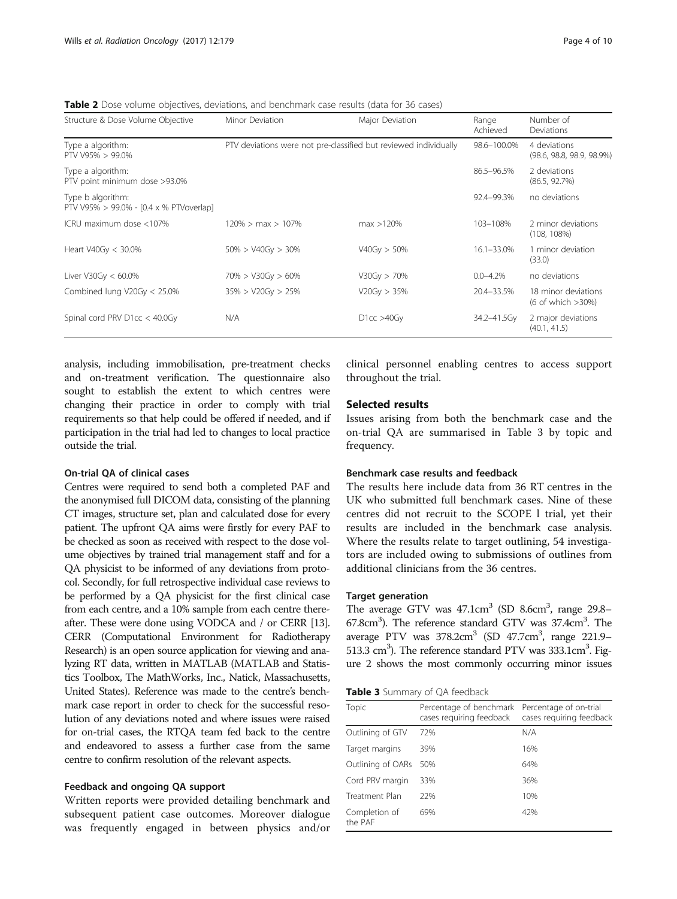<span id="page-3-0"></span>Table 2 Dose volume objectives, deviations, and benchmark case results (data for 36 cases)

| Structure & Dose Volume Objective                            | Minor Deviation                                                  | Major Deviation | Range<br>Achieved | Number of<br>Deviations                   |
|--------------------------------------------------------------|------------------------------------------------------------------|-----------------|-------------------|-------------------------------------------|
| Type a algorithm:<br>PTV V95% > 99.0%                        | PTV deviations were not pre-classified but reviewed individually |                 | 98.6-100.0%       | 4 deviations<br>(98.6, 98.8, 98.9, 98.9%) |
| Type a algorithm:<br>PTV point minimum dose >93.0%           |                                                                  |                 | 86.5-96.5%        | 2 deviations<br>(86.5, 92.7%)             |
| Type b algorithm:<br>PTV V95% > 99.0% - [0.4 x % PTVoverlap] |                                                                  |                 | 92.4-99.3%        | no deviations                             |
| ICRU maximum dose <107%                                      | $120\% > \text{max} > 107\%$                                     | max > 120%      | 103-108%          | 2 minor deviations<br>(108, 108%)         |
| Heart V40Gy < 30.0%                                          | $50\% > V40Gv > 30\%$                                            | V40Gy > 50%     | $16.1 - 33.0\%$   | 1 minor deviation<br>(33.0)               |
| Liver V30Gy $< 60.0\%$                                       | $70\% > V30Gy > 60\%$                                            | V30Gy > 70%     | $0.0 - 4.2%$      | no deviations                             |
| Combined lung $V20Gy < 25.0\%$                               | $35\% > V20Gy > 25\%$                                            | V20Gy > 35%     | 20.4-33.5%        | 18 minor deviations<br>(6 of which > 30%) |
| Spinal cord PRV $D1cc < 40.0Gy$                              | N/A                                                              | D1cc > 40Gy     | 34.2-41.5Gy       | 2 major deviations<br>(40.1, 41.5)        |

analysis, including immobilisation, pre-treatment checks and on-treatment verification. The questionnaire also sought to establish the extent to which centres were changing their practice in order to comply with trial requirements so that help could be offered if needed, and if participation in the trial had led to changes to local practice outside the trial.

## On-trial QA of clinical cases

Centres were required to send both a completed PAF and the anonymised full DICOM data, consisting of the planning CT images, structure set, plan and calculated dose for every patient. The upfront QA aims were firstly for every PAF to be checked as soon as received with respect to the dose volume objectives by trained trial management staff and for a QA physicist to be informed of any deviations from protocol. Secondly, for full retrospective individual case reviews to be performed by a QA physicist for the first clinical case from each centre, and a 10% sample from each centre thereafter. These were done using VODCA and / or CERR [\[13](#page-9-0)]. CERR (Computational Environment for Radiotherapy Research) is an open source application for viewing and analyzing RT data, written in MATLAB (MATLAB and Statistics Toolbox, The MathWorks, Inc., Natick, Massachusetts, United States). Reference was made to the centre's benchmark case report in order to check for the successful resolution of any deviations noted and where issues were raised for on-trial cases, the RTQA team fed back to the centre and endeavored to assess a further case from the same centre to confirm resolution of the relevant aspects.

## Feedback and ongoing QA support

Written reports were provided detailing benchmark and subsequent patient case outcomes. Moreover dialogue was frequently engaged in between physics and/or clinical personnel enabling centres to access support throughout the trial.

## Selected results

Issues arising from both the benchmark case and the on-trial QA are summarised in Table 3 by topic and frequency.

#### Benchmark case results and feedback

The results here include data from 36 RT centres in the UK who submitted full benchmark cases. Nine of these centres did not recruit to the SCOPE l trial, yet their results are included in the benchmark case analysis. Where the results relate to target outlining, 54 investigators are included owing to submissions of outlines from additional clinicians from the 36 centres.

### Target generation

The average GTV was 47.1cm<sup>3</sup> (SD 8.6cm<sup>3</sup>, range 29.8-67.8cm<sup>3</sup>). The reference standard GTV was 37.4cm<sup>3</sup>. The average PTV was 378.2cm<sup>3</sup> (SD 47.7cm<sup>3</sup>, range 221.9-513.3 cm<sup>3</sup>). The reference standard PTV was 333.1cm<sup>3</sup>. Figure [2](#page-4-0) shows the most commonly occurring minor issues

Table 3 Summary of QA feedback

| Topic                    | Percentage of benchmark<br>cases requiring feedback | Percentage of on-trial<br>cases requiring feedback |
|--------------------------|-----------------------------------------------------|----------------------------------------------------|
| Outlining of GTV         | 72%                                                 | N/A                                                |
| Target margins           | 39%                                                 | 16%                                                |
| Outlining of OARs        | 50%                                                 | 64%                                                |
| Cord PRV margin          | 33%                                                 | 36%                                                |
| Treatment Plan           | 22%                                                 | 10%                                                |
| Completion of<br>the PAF | 69%                                                 | 42%                                                |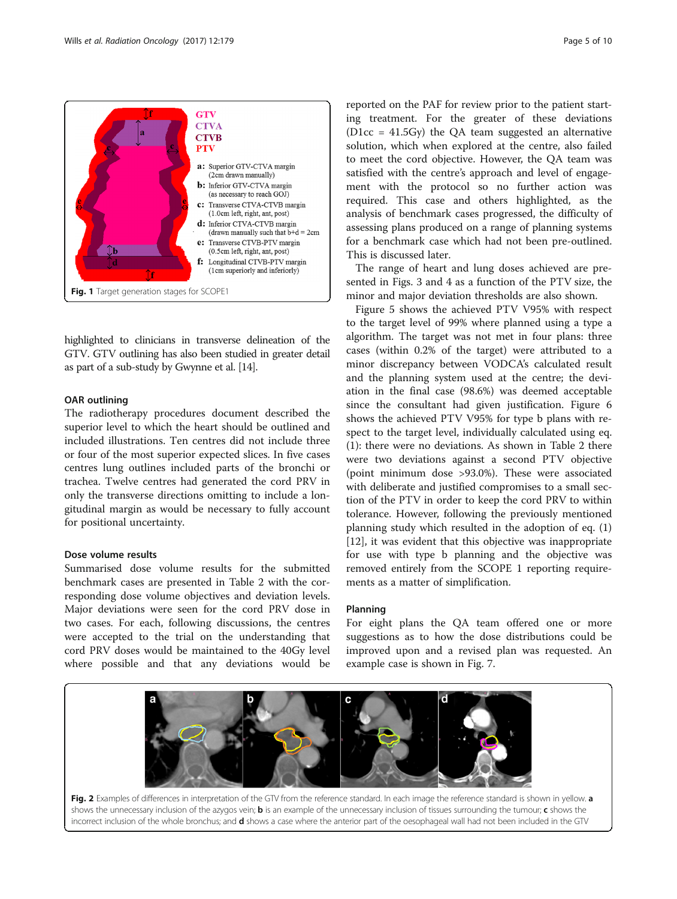<span id="page-4-0"></span>

highlighted to clinicians in transverse delineation of the GTV. GTV outlining has also been studied in greater detail as part of a sub-study by Gwynne et al. [\[14\]](#page-9-0).

#### OAR outlining

The radiotherapy procedures document described the superior level to which the heart should be outlined and included illustrations. Ten centres did not include three or four of the most superior expected slices. In five cases centres lung outlines included parts of the bronchi or trachea. Twelve centres had generated the cord PRV in only the transverse directions omitting to include a longitudinal margin as would be necessary to fully account for positional uncertainty.

## Dose volume results

Summarised dose volume results for the submitted benchmark cases are presented in Table [2](#page-3-0) with the corresponding dose volume objectives and deviation levels. Major deviations were seen for the cord PRV dose in two cases. For each, following discussions, the centres were accepted to the trial on the understanding that cord PRV doses would be maintained to the 40Gy level where possible and that any deviations would be

reported on the PAF for review prior to the patient starting treatment. For the greater of these deviations  $(D1cc = 41.5Gv)$  the OA team suggested an alternative solution, which when explored at the centre, also failed to meet the cord objective. However, the QA team was satisfied with the centre's approach and level of engagement with the protocol so no further action was required. This case and others highlighted, as the analysis of benchmark cases progressed, the difficulty of assessing plans produced on a range of planning systems for a benchmark case which had not been pre-outlined. This is discussed later.

The range of heart and lung doses achieved are presented in Figs. [3](#page-5-0) and [4](#page-5-0) as a function of the PTV size, the minor and major deviation thresholds are also shown.

Figure [5](#page-5-0) shows the achieved PTV V95% with respect to the target level of 99% where planned using a type a algorithm. The target was not met in four plans: three cases (within 0.2% of the target) were attributed to a minor discrepancy between VODCA's calculated result and the planning system used at the centre; the deviation in the final case (98.6%) was deemed acceptable since the consultant had given justification. Figure [6](#page-5-0) shows the achieved PTV V95% for type b plans with respect to the target level, individually calculated using eq. (1): there were no deviations. As shown in Table [2](#page-3-0) there were two deviations against a second PTV objective (point minimum dose >93.0%). These were associated with deliberate and justified compromises to a small section of the PTV in order to keep the cord PRV to within tolerance. However, following the previously mentioned planning study which resulted in the adoption of eq. (1) [[12\]](#page-9-0), it was evident that this objective was inappropriate for use with type b planning and the objective was removed entirely from the SCOPE 1 reporting requirements as a matter of simplification.

#### Planning

For eight plans the QA team offered one or more suggestions as to how the dose distributions could be improved upon and a revised plan was requested. An example case is shown in Fig. [7.](#page-6-0)

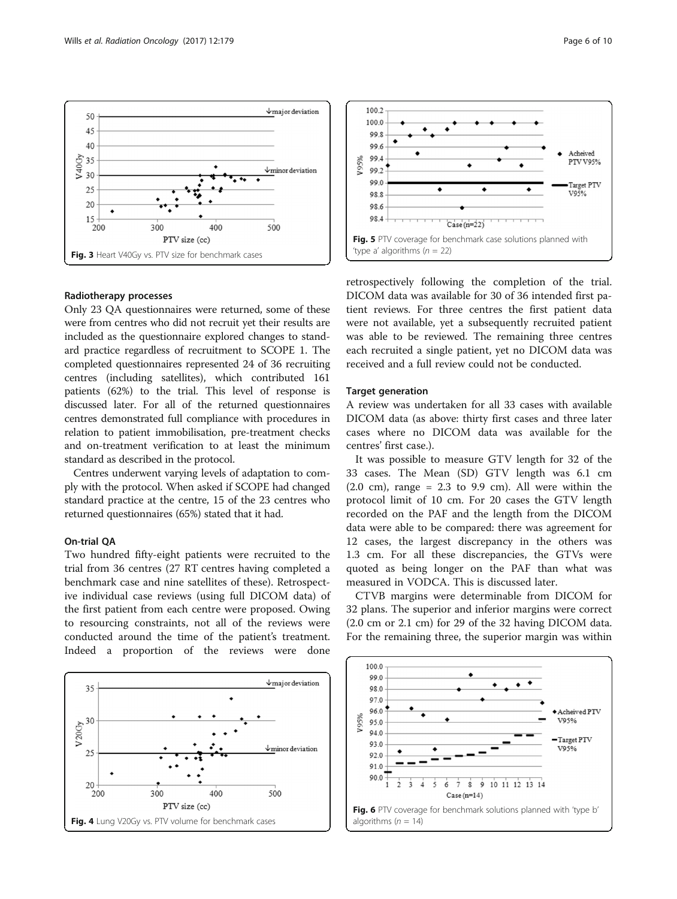<span id="page-5-0"></span>

#### Radiotherapy processes

Only 23 QA questionnaires were returned, some of these were from centres who did not recruit yet their results are included as the questionnaire explored changes to standard practice regardless of recruitment to SCOPE 1. The completed questionnaires represented 24 of 36 recruiting centres (including satellites), which contributed 161 patients (62%) to the trial. This level of response is discussed later. For all of the returned questionnaires centres demonstrated full compliance with procedures in relation to patient immobilisation, pre-treatment checks and on-treatment verification to at least the minimum standard as described in the protocol.

Centres underwent varying levels of adaptation to comply with the protocol. When asked if SCOPE had changed standard practice at the centre, 15 of the 23 centres who returned questionnaires (65%) stated that it had.

## On-trial QA

Two hundred fifty-eight patients were recruited to the trial from 36 centres (27 RT centres having completed a benchmark case and nine satellites of these). Retrospective individual case reviews (using full DICOM data) of the first patient from each centre were proposed. Owing to resourcing constraints, not all of the reviews were conducted around the time of the patient's treatment. Indeed a proportion of the reviews were done





retrospectively following the completion of the trial. DICOM data was available for 30 of 36 intended first patient reviews. For three centres the first patient data were not available, yet a subsequently recruited patient was able to be reviewed. The remaining three centres each recruited a single patient, yet no DICOM data was received and a full review could not be conducted.

#### Target generation

A review was undertaken for all 33 cases with available DICOM data (as above: thirty first cases and three later cases where no DICOM data was available for the centres' first case.).

It was possible to measure GTV length for 32 of the 33 cases. The Mean (SD) GTV length was 6.1 cm  $(2.0 \text{ cm})$ , range = 2.3 to 9.9 cm). All were within the protocol limit of 10 cm. For 20 cases the GTV length recorded on the PAF and the length from the DICOM data were able to be compared: there was agreement for 12 cases, the largest discrepancy in the others was 1.3 cm. For all these discrepancies, the GTVs were quoted as being longer on the PAF than what was measured in VODCA. This is discussed later.

CTVB margins were determinable from DICOM for 32 plans. The superior and inferior margins were correct (2.0 cm or 2.1 cm) for 29 of the 32 having DICOM data. For the remaining three, the superior margin was within

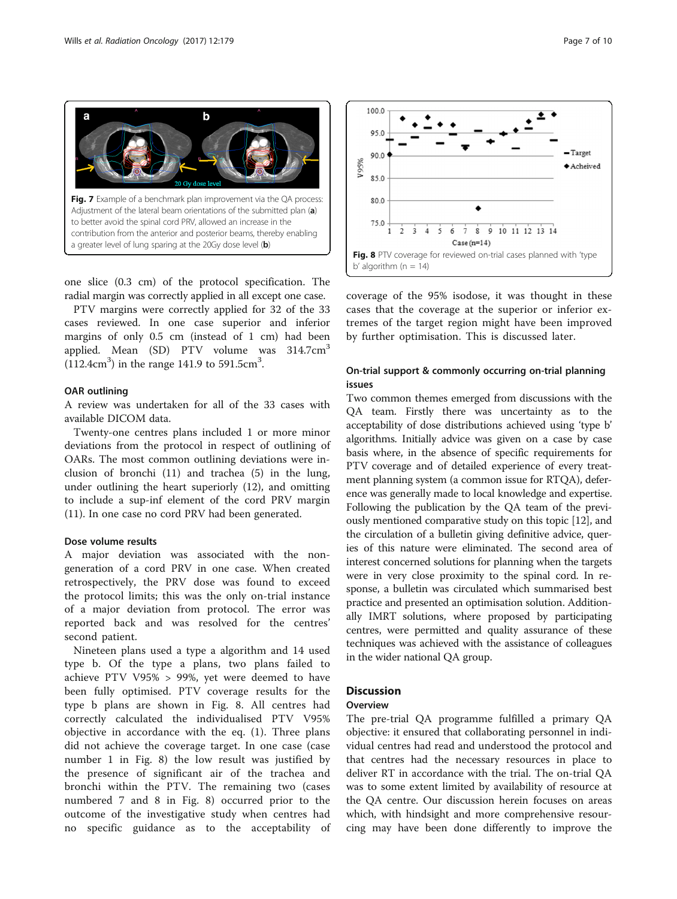<span id="page-6-0"></span>

one slice (0.3 cm) of the protocol specification. The radial margin was correctly applied in all except one case.

PTV margins were correctly applied for 32 of the 33 cases reviewed. In one case superior and inferior margins of only 0.5 cm (instead of 1 cm) had been applied. Mean  $(SD)$  PTV volume was 314.7 $cm<sup>3</sup>$  $(112.4 \text{cm}^3)$  in the range 141.9 to 591.5cm<sup>3</sup>.

#### OAR outlining

A review was undertaken for all of the 33 cases with available DICOM data.

Twenty-one centres plans included 1 or more minor deviations from the protocol in respect of outlining of OARs. The most common outlining deviations were inclusion of bronchi (11) and trachea (5) in the lung, under outlining the heart superiorly (12), and omitting to include a sup-inf element of the cord PRV margin (11). In one case no cord PRV had been generated.

## Dose volume results

A major deviation was associated with the nongeneration of a cord PRV in one case. When created retrospectively, the PRV dose was found to exceed the protocol limits; this was the only on-trial instance of a major deviation from protocol. The error was reported back and was resolved for the centres' second patient.

Nineteen plans used a type a algorithm and 14 used type b. Of the type a plans, two plans failed to achieve PTV V95% > 99%, yet were deemed to have been fully optimised. PTV coverage results for the type b plans are shown in Fig. 8. All centres had correctly calculated the individualised PTV V95% objective in accordance with the eq. (1). Three plans did not achieve the coverage target. In one case (case number 1 in Fig. 8) the low result was justified by the presence of significant air of the trachea and bronchi within the PTV. The remaining two (cases numbered 7 and 8 in Fig. 8) occurred prior to the outcome of the investigative study when centres had no specific guidance as to the acceptability of



coverage of the 95% isodose, it was thought in these cases that the coverage at the superior or inferior extremes of the target region might have been improved by further optimisation. This is discussed later.

## On-trial support & commonly occurring on-trial planning issues

Two common themes emerged from discussions with the QA team. Firstly there was uncertainty as to the acceptability of dose distributions achieved using 'type b' algorithms. Initially advice was given on a case by case basis where, in the absence of specific requirements for PTV coverage and of detailed experience of every treatment planning system (a common issue for RTQA), deference was generally made to local knowledge and expertise. Following the publication by the QA team of the previously mentioned comparative study on this topic [\[12\]](#page-9-0), and the circulation of a bulletin giving definitive advice, queries of this nature were eliminated. The second area of interest concerned solutions for planning when the targets were in very close proximity to the spinal cord. In response, a bulletin was circulated which summarised best practice and presented an optimisation solution. Additionally IMRT solutions, where proposed by participating centres, were permitted and quality assurance of these techniques was achieved with the assistance of colleagues in the wider national QA group.

## **Discussion**

## **Overview**

The pre-trial QA programme fulfilled a primary QA objective: it ensured that collaborating personnel in individual centres had read and understood the protocol and that centres had the necessary resources in place to deliver RT in accordance with the trial. The on-trial QA was to some extent limited by availability of resource at the QA centre. Our discussion herein focuses on areas which, with hindsight and more comprehensive resourcing may have been done differently to improve the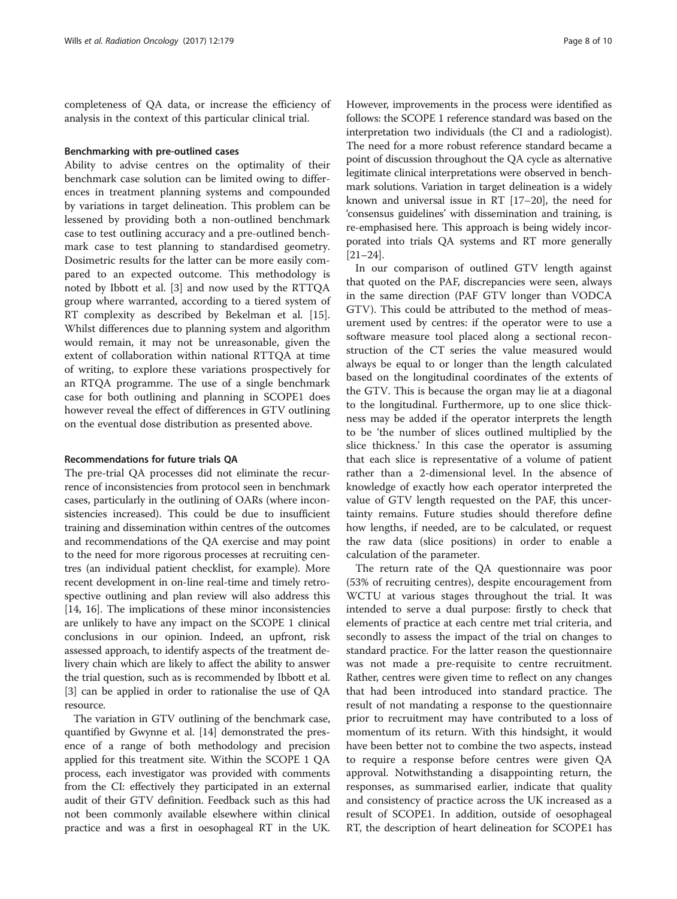completeness of QA data, or increase the efficiency of analysis in the context of this particular clinical trial.

#### Benchmarking with pre-outlined cases

Ability to advise centres on the optimality of their benchmark case solution can be limited owing to differences in treatment planning systems and compounded by variations in target delineation. This problem can be lessened by providing both a non-outlined benchmark case to test outlining accuracy and a pre-outlined benchmark case to test planning to standardised geometry. Dosimetric results for the latter can be more easily compared to an expected outcome. This methodology is noted by Ibbott et al. [[3\]](#page-9-0) and now used by the RTTQA group where warranted, according to a tiered system of RT complexity as described by Bekelman et al. [\[15](#page-9-0)]. Whilst differences due to planning system and algorithm would remain, it may not be unreasonable, given the extent of collaboration within national RTTQA at time of writing, to explore these variations prospectively for an RTQA programme. The use of a single benchmark case for both outlining and planning in SCOPE1 does however reveal the effect of differences in GTV outlining on the eventual dose distribution as presented above.

#### Recommendations for future trials QA

The pre-trial QA processes did not eliminate the recurrence of inconsistencies from protocol seen in benchmark cases, particularly in the outlining of OARs (where inconsistencies increased). This could be due to insufficient training and dissemination within centres of the outcomes and recommendations of the QA exercise and may point to the need for more rigorous processes at recruiting centres (an individual patient checklist, for example). More recent development in on-line real-time and timely retrospective outlining and plan review will also address this [[14](#page-9-0), [16\]](#page-9-0). The implications of these minor inconsistencies are unlikely to have any impact on the SCOPE 1 clinical conclusions in our opinion. Indeed, an upfront, risk assessed approach, to identify aspects of the treatment delivery chain which are likely to affect the ability to answer the trial question, such as is recommended by Ibbott et al. [[3\]](#page-9-0) can be applied in order to rationalise the use of QA resource.

The variation in GTV outlining of the benchmark case, quantified by Gwynne et al. [\[14\]](#page-9-0) demonstrated the presence of a range of both methodology and precision applied for this treatment site. Within the SCOPE 1 QA process, each investigator was provided with comments from the CI: effectively they participated in an external audit of their GTV definition. Feedback such as this had not been commonly available elsewhere within clinical practice and was a first in oesophageal RT in the UK. However, improvements in the process were identified as follows: the SCOPE 1 reference standard was based on the interpretation two individuals (the CI and a radiologist). The need for a more robust reference standard became a point of discussion throughout the QA cycle as alternative legitimate clinical interpretations were observed in benchmark solutions. Variation in target delineation is a widely known and universal issue in RT [[17](#page-9-0)–[20\]](#page-9-0), the need for 'consensus guidelines' with dissemination and training, is re-emphasised here. This approach is being widely incorporated into trials QA systems and RT more generally [[21](#page-9-0)–[24\]](#page-9-0).

In our comparison of outlined GTV length against that quoted on the PAF, discrepancies were seen, always in the same direction (PAF GTV longer than VODCA GTV). This could be attributed to the method of measurement used by centres: if the operator were to use a software measure tool placed along a sectional reconstruction of the CT series the value measured would always be equal to or longer than the length calculated based on the longitudinal coordinates of the extents of the GTV. This is because the organ may lie at a diagonal to the longitudinal. Furthermore, up to one slice thickness may be added if the operator interprets the length to be 'the number of slices outlined multiplied by the slice thickness.' In this case the operator is assuming that each slice is representative of a volume of patient rather than a 2-dimensional level. In the absence of knowledge of exactly how each operator interpreted the value of GTV length requested on the PAF, this uncertainty remains. Future studies should therefore define how lengths, if needed, are to be calculated, or request the raw data (slice positions) in order to enable a calculation of the parameter.

The return rate of the QA questionnaire was poor (53% of recruiting centres), despite encouragement from WCTU at various stages throughout the trial. It was intended to serve a dual purpose: firstly to check that elements of practice at each centre met trial criteria, and secondly to assess the impact of the trial on changes to standard practice. For the latter reason the questionnaire was not made a pre-requisite to centre recruitment. Rather, centres were given time to reflect on any changes that had been introduced into standard practice. The result of not mandating a response to the questionnaire prior to recruitment may have contributed to a loss of momentum of its return. With this hindsight, it would have been better not to combine the two aspects, instead to require a response before centres were given QA approval. Notwithstanding a disappointing return, the responses, as summarised earlier, indicate that quality and consistency of practice across the UK increased as a result of SCOPE1. In addition, outside of oesophageal RT, the description of heart delineation for SCOPE1 has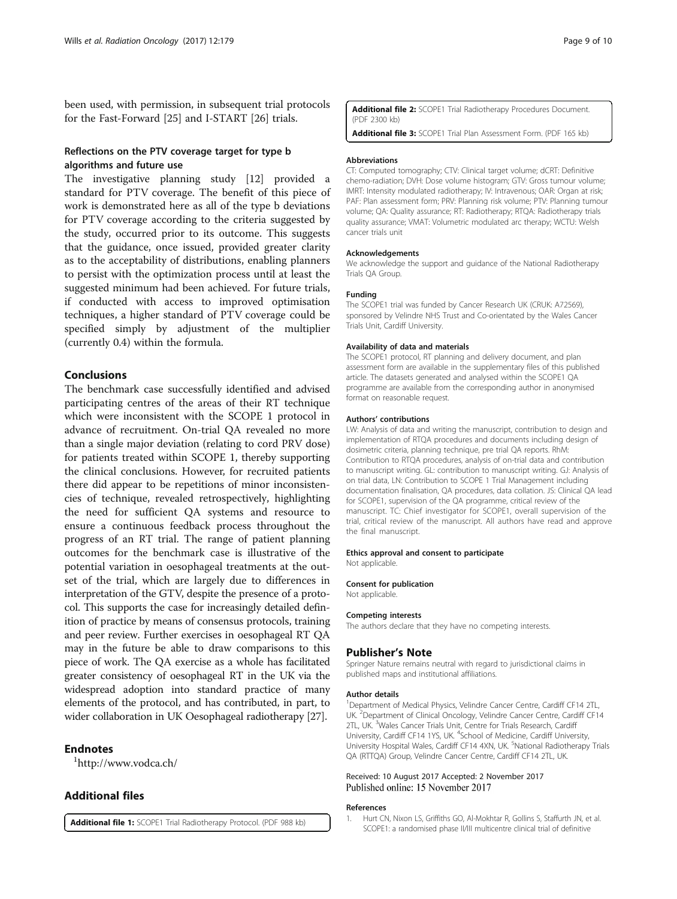<span id="page-8-0"></span>been used, with permission, in subsequent trial protocols for the Fast-Forward [[25\]](#page-9-0) and I-START [[26\]](#page-9-0) trials.

## Reflections on the PTV coverage target for type b algorithms and future use

The investigative planning study [\[12](#page-9-0)] provided a standard for PTV coverage. The benefit of this piece of work is demonstrated here as all of the type b deviations for PTV coverage according to the criteria suggested by the study, occurred prior to its outcome. This suggests that the guidance, once issued, provided greater clarity as to the acceptability of distributions, enabling planners to persist with the optimization process until at least the suggested minimum had been achieved. For future trials, if conducted with access to improved optimisation techniques, a higher standard of PTV coverage could be specified simply by adjustment of the multiplier (currently 0.4) within the formula.

## Conclusions

The benchmark case successfully identified and advised participating centres of the areas of their RT technique which were inconsistent with the SCOPE 1 protocol in advance of recruitment. On-trial QA revealed no more than a single major deviation (relating to cord PRV dose) for patients treated within SCOPE 1, thereby supporting the clinical conclusions. However, for recruited patients there did appear to be repetitions of minor inconsistencies of technique, revealed retrospectively, highlighting the need for sufficient QA systems and resource to ensure a continuous feedback process throughout the progress of an RT trial. The range of patient planning outcomes for the benchmark case is illustrative of the potential variation in oesophageal treatments at the outset of the trial, which are largely due to differences in interpretation of the GTV, despite the presence of a protocol. This supports the case for increasingly detailed definition of practice by means of consensus protocols, training and peer review. Further exercises in oesophageal RT QA may in the future be able to draw comparisons to this piece of work. The QA exercise as a whole has facilitated greater consistency of oesophageal RT in the UK via the widespread adoption into standard practice of many elements of the protocol, and has contributed, in part, to wider collaboration in UK Oesophageal radiotherapy [\[27\]](#page-9-0).

## **Endnotes**

<http://www.vodca.ch/>

## Additional files

[Additional file 1:](dx.doi.org/10.1186/s13014-017-0916-7) SCOPE1 Trial Radiotherapy Protocol. (PDF 988 kb)

[Additional file 2:](dx.doi.org/10.1186/s13014-017-0916-7) SCOPE1 Trial Radiotherapy Procedures Document. (PDF 2300 kb)

[Additional file 3:](dx.doi.org/10.1186/s13014-017-0916-7) SCOPE1 Trial Plan Assessment Form. (PDF 165 kb)

#### Abbreviations

CT: Computed tomography; CTV: Clinical target volume; dCRT: Definitive chemo-radiation; DVH: Dose volume histogram; GTV: Gross tumour volume; IMRT: Intensity modulated radiotherapy; IV: Intravenous; OAR: Organ at risk; PAF: Plan assessment form; PRV: Planning risk volume; PTV: Planning tumour volume; QA: Quality assurance; RT: Radiotherapy; RTQA: Radiotherapy trials quality assurance; VMAT: Volumetric modulated arc therapy; WCTU: Welsh cancer trials unit

#### Acknowledgements

We acknowledge the support and guidance of the National Radiotherapy Trials QA Group.

#### Funding

The SCOPE1 trial was funded by Cancer Research UK (CRUK: A72569), sponsored by Velindre NHS Trust and Co-orientated by the Wales Cancer Trials Unit, Cardiff University.

#### Availability of data and materials

The SCOPE1 protocol, RT planning and delivery document, and plan assessment form are available in the supplementary files of this published article. The datasets generated and analysed within the SCOPE1 QA programme are available from the corresponding author in anonymised format on reasonable request.

#### Authors' contributions

LW: Analysis of data and writing the manuscript, contribution to design and implementation of RTQA procedures and documents including design of dosimetric criteria, planning technique, pre trial QA reports. RhM: Contribution to RTQA procedures, analysis of on-trial data and contribution to manuscript writing. GL: contribution to manuscript writing. GJ: Analysis of on trial data, LN: Contribution to SCOPE 1 Trial Management including documentation finalisation, QA procedures, data collation. JS: Clinical QA lead for SCOPE1, supervision of the QA programme, critical review of the manuscript. TC: Chief investigator for SCOPE1, overall supervision of the trial, critical review of the manuscript. All authors have read and approve the final manuscript.

#### Ethics approval and consent to participate

Not applicable.

#### Consent for publication

Not applicable.

#### Competing interests

The authors declare that they have no competing interests.

#### Publisher's Note

Springer Nature remains neutral with regard to jurisdictional claims in published maps and institutional affiliations.

#### Author details

<sup>1</sup>Department of Medical Physics, Velindre Cancer Centre, Cardiff CF14 2TL UK. <sup>2</sup> Department of Clinical Oncology, Velindre Cancer Centre, Cardiff CF14 2TL, UK. <sup>3</sup>Wales Cancer Trials Unit, Centre for Trials Research, Cardiff University, Cardiff CF14 1YS, UK. <sup>4</sup>School of Medicine, Cardiff University, University Hospital Wales, Cardiff CF14 4XN, UK. <sup>5</sup>National Radiotherapy Trials QA (RTTQA) Group, Velindre Cancer Centre, Cardiff CF14 2TL, UK.

#### Received: 10 August 2017 Accepted: 2 November 2017 Published online: 15 November 2017

#### References

1. Hurt CN, Nixon LS, Griffiths GO, Al-Mokhtar R, Gollins S, Staffurth JN, et al. SCOPE1: a randomised phase II/III multicentre clinical trial of definitive